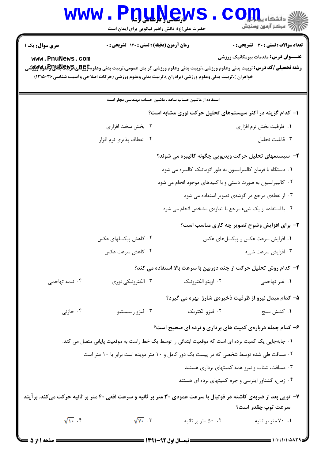|                                                                                                                                         | حضرت علی(ع): دانش راهبر نیکویی برای ایمان است                                                       | <b>U. L. L. L. L. L. L.</b>                             | دانشگاه پی <mark>ا ب</mark><br>بہ مرڪز آزمون وسنجش                                                                                                                                        |  |
|-----------------------------------------------------------------------------------------------------------------------------------------|-----------------------------------------------------------------------------------------------------|---------------------------------------------------------|-------------------------------------------------------------------------------------------------------------------------------------------------------------------------------------------|--|
| <b>سری سوال :</b> یک ۱                                                                                                                  | <b>زمان آزمون (دقیقه) : تستی : 120 گشریحی : 0</b>                                                   |                                                         | تعداد سوالات : تستي : 30 ٪ تشريحي : 0                                                                                                                                                     |  |
| www.PnuNews.com                                                                                                                         | خواهران )،تربیت بدنی وعلوم ورزشی (برادران )،تربیت بدنی وعلوم ورزشی (حرکات اصلاحی وآسیب شناسی۲۶۵۰۳۶) |                                                         | <b>عنـــوان درس:</b> مقدمات بیومکانیک ورزشی<br><b>رشته تحصیلی/کد درس:</b> تربیت بدنی وعلوم ورزشی.،تربیت بدنی وعلوم ورزشی گرایش عمومی،تربیت بدنی وعلوم <b>‡و \$یچ \$\$Pلياچاولملو#W</b> تر |  |
|                                                                                                                                         |                                                                                                     | استفاده از ماشین حساب ساده ، ماشین حساب مهندسی مجاز است |                                                                                                                                                                                           |  |
|                                                                                                                                         |                                                                                                     |                                                         | ۱– کدام گزینه در اکثر سیستمهای تحلیل حرکت نوری مشابه است؟                                                                                                                                 |  |
|                                                                                                                                         | ۰۲ بخش سخت افزاری                                                                                   |                                                         | ٠١ ظرفيت بخش نرم افزاري                                                                                                                                                                   |  |
|                                                                                                                                         | ۰۴ انعطاف پذیری نرم افزار                                                                           |                                                         | ٠٣ قابليت تحليل                                                                                                                                                                           |  |
| ۲- سیستمهای تحلیل حرکت ویدیویی چگونه کالیبره می شوند؟                                                                                   |                                                                                                     |                                                         |                                                                                                                                                                                           |  |
|                                                                                                                                         |                                                                                                     |                                                         | ۰۱ دستگاه با فرمان کالیبراسیون به طور اتوماتیک کالیبره می شود                                                                                                                             |  |
|                                                                                                                                         |                                                                                                     |                                                         | ۰۲ کالیبراسیون به صورت دستی و با کلیدهای موجود انجام می شود                                                                                                                               |  |
|                                                                                                                                         |                                                                                                     |                                                         | ۰۳ از نقطهی مرجع در گوشهی تصویر استفاده می شود                                                                                                                                            |  |
|                                                                                                                                         |                                                                                                     |                                                         | ۰۴ با استفاده از یک شیء مرجع با اندازهی مشخص انجام می شود                                                                                                                                 |  |
|                                                                                                                                         |                                                                                                     |                                                         | <b>۳</b> - برای افزایش وضوح تصویر چه کاری مناسب است؟                                                                                                                                      |  |
|                                                                                                                                         | ۰۲ کاهش پیکسلهای عکس                                                                                |                                                         | ۰۱ افزایش سرعت عکس و پیکسلهای عکس                                                                                                                                                         |  |
|                                                                                                                                         | ۰۴ کاهش سرعت عکس                                                                                    |                                                         | ۰۳ افزایش سرعت شیء                                                                                                                                                                        |  |
|                                                                                                                                         |                                                                                                     |                                                         | ۴- کدام روش تحلیل حرکت از چند دوربین با سرعت بالا استفاده می کند؟                                                                                                                         |  |
| ۰۴ نیمه تهاجمی                                                                                                                          | ۰۳ الکترونیکی نوری                                                                                  | ٠٢ اوپتو الكترونيک                                      | ۰۱ غیر تهاجمی                                                                                                                                                                             |  |
|                                                                                                                                         |                                                                                                     |                                                         | ۵- کدام مبدل نیرو از ظرفیت ذخیرهی شارژ بهره می گیرد؟                                                                                                                                      |  |
| ۰۴ خازنی                                                                                                                                | ۰۳ فیزو رسیستیو                                                                                     | ۰۲ فيزو الكتريك                                         | ۰۱ کشش سنج                                                                                                                                                                                |  |
|                                                                                                                                         |                                                                                                     |                                                         | ۶- کدام جمله دربارهی کمیت های برداری و نرده ای صحیح است؟                                                                                                                                  |  |
| ۰۱ جابهجایی یک کمیت نرده ای است که موقعیت ابتدائی را توسط یک خط راست به موقعیت پایانی متصل می کند.                                      |                                                                                                     |                                                         |                                                                                                                                                                                           |  |
| ۰۲ مسافت طی شده توسط شخصی که در پیست یک دور کامل و ۱۰ متر دویده است برابر با ۱۰ متر است                                                 |                                                                                                     |                                                         |                                                                                                                                                                                           |  |
|                                                                                                                                         |                                                                                                     |                                                         | ۰۳ مسافت، شتاب و نیرو همه کمیتهای برداری هستند                                                                                                                                            |  |
|                                                                                                                                         |                                                                                                     |                                                         | ۰۴ زمان، گشتاور اینرسی و جرم کمیتهای نرده ای هستند                                                                                                                                        |  |
| ۷- توپی بعد از ضربهی کاشته در فوتبال با سرعت عمودی ۳۰ متر بر ثانیه و سرعت افقی ۴۰ متر بر ثانیه حرکت میکند. برآیند<br>سرعت توپ چقدر است؟ |                                                                                                     |                                                         |                                                                                                                                                                                           |  |
| $\sqrt{11}$ $\sqrt{1}$                                                                                                                  | $\sqrt{\gamma_{+}}$ $\gamma$                                                                        | ۰۲ ۵۰ متر بر ثانیه                                      | ۰۱ ۷۰ متر بر ثانیه                                                                                                                                                                        |  |

 $1 - 1 - 1 - 1 - 2 - 1$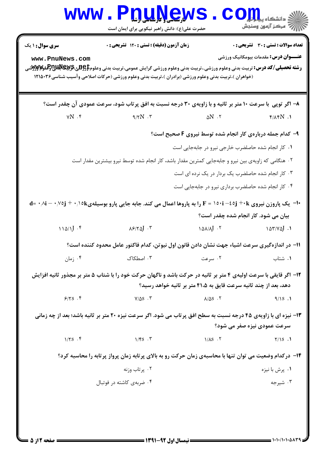|                                                                                                                                                                                       | www.Pnunews<br>حضرت علی(ع): دانش راهبر نیکویی برای ایمان است                                                                                                                                                                                                                                    |                                                           | اللاءِ دانشڪاه پي <mark>ا بار</mark><br>   الله عرڪز آزمون وسنڊش                     |  |
|---------------------------------------------------------------------------------------------------------------------------------------------------------------------------------------|-------------------------------------------------------------------------------------------------------------------------------------------------------------------------------------------------------------------------------------------------------------------------------------------------|-----------------------------------------------------------|--------------------------------------------------------------------------------------|--|
| <b>سری سوال : ۱ یک</b><br>www.PnuNews.com                                                                                                                                             | زمان آزمون (دقیقه) : تستی : ۱۲۰ تشریحی : ۰<br><b>رشته تحصیلی/کد درس:</b> تربیت بدنی وعلوم ورزشی.،تربیت بدنی وعلوم ورزشی گرایش عمومی،تربیت بدنی وعلوم <b>‡\$BپیچلالتيPپلولولاW</b> ترشی<br>(خواهران )،تربیت بدنی وعلوم ورزشی (برادران )،تربیت بدنی وعلوم ورزشی (حرکات اصلاحی وآسیب شناسی۲۱۵۰۳۶ ( |                                                           | تعداد سوالات : تستي : 30 - تشريحي : 0<br><b>عنـــوان درس:</b> مقدمات بیومکانیک ورزشی |  |
|                                                                                                                                                                                       | ۸- اگر توپی با سرعت ۱۰ متر بر ثانیه و با زاویهی ۳۰ درجه نسبت به افق پرتاب شود، سرعت عمودی آن چقدر است؟                                                                                                                                                                                          |                                                           |                                                                                      |  |
| $\gamma N$ . $\mathfrak k$                                                                                                                                                            | $9/7N$ .                                                                                                                                                                                                                                                                                        | $\Delta N$ . $\tau$                                       | $f/\lambda fN$ .                                                                     |  |
|                                                                                                                                                                                       |                                                                                                                                                                                                                                                                                                 | ۹- کدام جمله دربارهی کار انجام شده توسط نیروی F صحیح است؟ |                                                                                      |  |
|                                                                                                                                                                                       |                                                                                                                                                                                                                                                                                                 | ۰۱ کار انجام شده حاصلضرب خارجی نیرو در جابهجایی است       |                                                                                      |  |
|                                                                                                                                                                                       | ۰۲ هنگامی که زاویهی بین نیرو و جابهجایی کمترین مقدار باشد، کار انجام شده توسط نیرو بیشترین مقدار است                                                                                                                                                                                            |                                                           |                                                                                      |  |
|                                                                                                                                                                                       |                                                                                                                                                                                                                                                                                                 | ۰۳ کار انجام شده حاصلضرب یک بردار در یک نرده ای است       |                                                                                      |  |
|                                                                                                                                                                                       |                                                                                                                                                                                                                                                                                                 | ۰۴ کار انجام شده حاصلضرب برداری نیرو در جابهجایی است      |                                                                                      |  |
|                                                                                                                                                                                       | +1−  یک پاروزن نیروی F = ۱۵۰i –٤٥j +۰k را به پاروها اعمال می کند. جابه جایی پارو بوسیلهی،۱۵k− ۰٫۷٥j + ۰٫۱۵k−۰٫                                                                                                                                                                                  | بیان می شود. کار انجام شده چقدر است؟                      |                                                                                      |  |
| $110/1$ .                                                                                                                                                                             | $\lambda$ $\beta$ / $\gamma$ $\Delta$ $J$ $\cdot$ $\zeta$                                                                                                                                                                                                                                       | $\Delta \Delta / \Delta J$ $\gamma$                       |                                                                                      |  |
|                                                                                                                                                                                       | 1۱– در اندازهگیری سرعت اشیاء جهت نشان دادن قانون اول نیوتن، کدام فاکتور عامل محدود کننده است؟                                                                                                                                                                                                   |                                                           |                                                                                      |  |
| $\cdot$ ; ما $\cdot$                                                                                                                                                                  | ۰۳ اصطکاک                                                                                                                                                                                                                                                                                       | ۰۲ سرعت                                                   | ٠١ شتاب                                                                              |  |
| ۱۲- اگر قایقی با سرعت اولیهی ۴ متر بر ثانیه در حرکت باشد و ناگهان حرکت خود را با شتاب ۵ متر بر مجذور ثانیه افزایش<br>دهد، بعد از چند ثانیه سرعت قایق به ۴۱،۵ متر بر ثانیه خواهد رسید؟ |                                                                                                                                                                                                                                                                                                 |                                                           |                                                                                      |  |
| 9/5.5                                                                                                                                                                                 | $Y/\Delta S$ . $\tilde{Y}$                                                                                                                                                                                                                                                                      | $\lambda/\Delta S$ .                                      | 9/15.1                                                                               |  |
|                                                                                                                                                                                       | ۱۳- نیزه ای با زاویهی ۴۵ درجه نسبت به سطح افق پرتاب می شود. اگر سرعت نیزه ۲۰ متر بر ثانیه باشد؛ بعد از چه زمانی                                                                                                                                                                                 |                                                           |                                                                                      |  |
|                                                                                                                                                                                       |                                                                                                                                                                                                                                                                                                 |                                                           | سرعت عمودی نیزه صفر می شود؟                                                          |  |
| $1/5$ . $f$                                                                                                                                                                           | $1/FS$ .                                                                                                                                                                                                                                                                                        | $1/\lambda S$ . $\zeta$                                   | $Y/1S$ .                                                                             |  |
|                                                                                                                                                                                       | ۱۴- درکدام وضعیت می توان تنها با محاسبهی زمان حرکت رو به بالای پرتابه زمان پرواز پرتابه را محاسبه کرد؟                                                                                                                                                                                          |                                                           |                                                                                      |  |
|                                                                                                                                                                                       | ۰۲ پرتاب وزنه                                                                                                                                                                                                                                                                                   |                                                           | ۰۱ پرش با نیزه                                                                       |  |
|                                                                                                                                                                                       | ۰۴ ضربهی کاشته در فوتبال                                                                                                                                                                                                                                                                        |                                                           | ۰۳ شیرجه                                                                             |  |
|                                                                                                                                                                                       |                                                                                                                                                                                                                                                                                                 |                                                           |                                                                                      |  |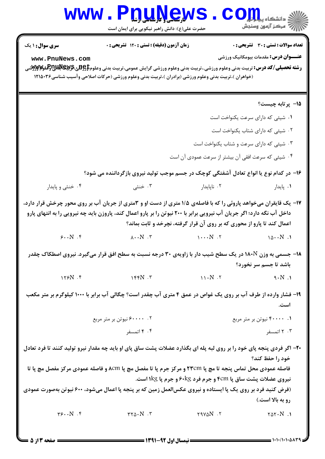## WWW. Pnu News. Com حضرت علی(ع): دانش راهبر نیکویی برای ایمان است  $7.7678$  $\ddot{a}$   $\dddot{b}$   $\dddot{c}$   $\dddot{c}$   $\dddot{c}$   $\dddot{c}$   $\dddot{c}$   $\dddot{c}$   $\dddot{c}$   $\dddot{c}$   $\dddot{c}$

| <b>سری سوال :</b> ۱ یک                                | <b>زمان آزمون (دقیقه) : تستی : 120   تسریحی : 0</b>                                                                                                                           |                       | <b>نعداد سوالات : تستی : 30 - تسریحی : 0</b>       |
|-------------------------------------------------------|-------------------------------------------------------------------------------------------------------------------------------------------------------------------------------|-----------------------|----------------------------------------------------|
| www.PnuNews.com                                       |                                                                                                                                                                               |                       | <b>عنـــوان درس:</b> مقدمات بیومکانیک ورزشی        |
|                                                       | <b>رشته تحصیلی/کد درس:</b> تربیت بدنی وعلوم ورزشی.،تربیت بدنی وعلوم ورزشی گرایش عمومی،تربیت بدنی وعلوم <b>کاباتاتی استان استان تابلاتاتی استان می توانیق ان تابلاتی استان</b> |                       |                                                    |
|                                                       | (خواهران )،تربیت بدنی وعلوم ورزشی (برادران )،تربیت بدنی وعلوم ورزشی (حرکات اصلاحی وآسیب شناسی۱۲۱۵۰۳۶                                                                          |                       |                                                    |
|                                                       |                                                                                                                                                                               |                       |                                                    |
|                                                       |                                                                                                                                                                               |                       | 1۵– پرتابه چیست؟                                   |
|                                                       |                                                                                                                                                                               |                       |                                                    |
|                                                       |                                                                                                                                                                               |                       | ۰۱ شیئی که دارای سرعت یکنواخت است                  |
|                                                       |                                                                                                                                                                               |                       | ۰۲ شیئی که دارای شتاب یکنواخت است                  |
|                                                       |                                                                                                                                                                               |                       | ۰۳ شیئی که دارای سرعت و شتاب یکنواخت است           |
|                                                       |                                                                                                                                                                               |                       | ۰۴ شیئی که سرعت افقی آن بیشتر از سرعت عمودی آن است |
|                                                       | ۱۶- در کدام نوع یا انواع تعادل آشفتگی کوچک در جسم موجب تولید نیروی بازگرداننده می شود؟                                                                                        |                       |                                                    |
| ۰۴ خنثي و پايدار                                      | ۰۳ خنثی                                                                                                                                                                       | ۰۲ ناپایدار           | ۰۱ پایدار                                          |
|                                                       | ۱۷- یک قایقران میخواهد پاروئی را که با فاصلهی ۱/۵ متری از دست او و ۳متری از جریان آب بر روی محور چرخش قرار دارد،                                                              |                       |                                                    |
|                                                       | داخل آب نگه دارد؛ اگر جریان آب نیرویی برابر با ۲۰۰ نیوتن را بر پارو اعمال کند، پاروزن باید چه نیرویی را به انتهای پارو                                                        |                       |                                                    |
|                                                       | اعمال کند تا پارو از محوری که بر روی آن قرار گرفته، نچرخد و ثابت بماند؟                                                                                                       |                       |                                                    |
| $\mathcal{S}\cdot\cdot N$ . $\mathcal{S}$             | $\lambda \cdot \cdot N \cdot r$ $\lambda \cdot \cdot N \cdot N$                                                                                                               |                       | $10 \cdot N$ .                                     |
|                                                       | <b>۱۸</b> - جسمی به وزن ۱۸۰Ñ در یک سطح شیب دار با زاویهی ۳۰ درجه نسبت به سطح افق قرار میگیرد. نیروی اصطکاک چقدر                                                               |                       |                                                    |
|                                                       |                                                                                                                                                                               |                       | باشد تا جسم سر نخورد؟                              |
| $158N$ .                                              | $155N$ . $T$                                                                                                                                                                  | $11 \cdot N$ . $\tau$ | $9 \cdot N$ .                                      |
|                                                       | ۱۹- فشار وارده از طرف آب بر روی یک غواص در عمق ۴ متری آب چقدر است؟ چگالی آب برابر با ۱۰۰۰ کیلوگرم بر متر مکعب                                                                 |                       |                                                    |
|                                                       |                                                                                                                                                                               |                       | است.                                               |
|                                                       | ۲. ۶۰۰۰۰ نیوتن بر متر مربع                                                                                                                                                    |                       | ۰۱ ۴۰۰۰۰ نیوتن بر متر مربع                         |
|                                                       | ۴. ۴ اتمسفر                                                                                                                                                                   |                       | ۰۳ اتمسفر                                          |
|                                                       |                                                                                                                                                                               |                       |                                                    |
|                                                       | +۲- اگر فردی پنجه پای خود را بر روی لبه پله ای بگذارد عضلات پشت ساق پای او باید چه مقدار نیرو تولید کنند تا فرد تعادل                                                         |                       |                                                    |
|                                                       | فاصله عمودی محل تماس پنجه تا مچ پا ۲۳cm و مرکز جرم پا تا مفصل مچ پا ۸cm و فاصله عمودی مرکز مفصل مچ پا تا                                                                      |                       | خود را حفظ کند؟                                    |
|                                                       | نیروی عضلات پشت ساق پا ۴cm و جرم فرد ۶۰kg و جرم پا ۱kg است.                                                                                                                   |                       |                                                    |
|                                                       | (فرض کنید فرد بر روی یک پا ایستاده و نیروی عکس لعمل زمین که بر پنجه پا اعمال میشود، ۶۰۰ نیوتن بهصورت عمودی                                                                    |                       |                                                    |
|                                                       |                                                                                                                                                                               |                       | رو به بالا است.)                                   |
| $\mathbf{r}\mathbf{s}\cdots\mathbf{N}$ . $\mathbf{r}$ | $rr\Delta \cdot N$ . $r$                                                                                                                                                      | $Y$ $N$               | $Y \Delta Y \cdot N$ .                             |
|                                                       |                                                                                                                                                                               |                       |                                                    |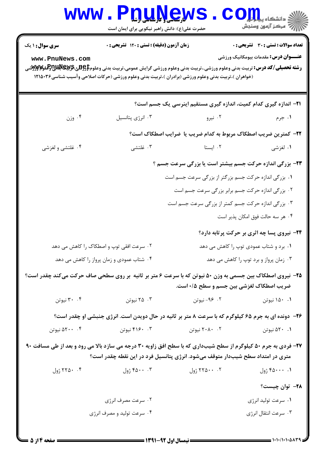|                                                                                                                                                                                                  | <b>www.Pnunews</b><br>حضرت علی(ع): دانش راهبر نیکویی برای ایمان است                                                                                                                                                                                                                                                                                           |                                                       | دانشگاه پ <b>یام</b><br>ے<br>اسکر آزمون وسنجش                                               |  |
|--------------------------------------------------------------------------------------------------------------------------------------------------------------------------------------------------|---------------------------------------------------------------------------------------------------------------------------------------------------------------------------------------------------------------------------------------------------------------------------------------------------------------------------------------------------------------|-------------------------------------------------------|---------------------------------------------------------------------------------------------|--|
| <b>سری سوال : ۱ یک</b><br>www.PnuNews.com                                                                                                                                                        | زمان آزمون (دقیقه) : تستی : ۱۲۰ تشریحی : ۰<br><b>رشته تحصیلی/کد درس:</b> تربیت بدنی وعلوم ورزشی.،تربیت بدنی وعلوم ورزشی گرایش عمومی،تربیت بدنی وعلوم <b>‡وگللیچالالاتی تولیلاتی تولیل تولی</b> لاتی تولید تولید تولید تولید تولید تولید تولید تولید ت<br>(خواهران )،تربیت بدنی وعلوم ورزشی (برادران )،تربیت بدنی وعلوم ورزشی (حرکات اصلاحی وآسیب شناسی۱۲۱۵۰۳۶ |                                                       | <b>تعداد سوالات : تستی : 30 ٪ تشریحی : 0</b><br><b>عنـــوان درس:</b> مقدمات بیومکانیک ورزشی |  |
|                                                                                                                                                                                                  |                                                                                                                                                                                                                                                                                                                                                               |                                                       | <b>۲۱</b> - اندازه گیری کدام کمیت، اندازه گیری مستقیم اینرسی یک جسم است؟                    |  |
| ۰۴ وزن                                                                                                                                                                                           | ۰۳ انرژی پتانسیل                                                                                                                                                                                                                                                                                                                                              | ۰۲ نیرو                                               | ۰۱ جرم                                                                                      |  |
|                                                                                                                                                                                                  |                                                                                                                                                                                                                                                                                                                                                               |                                                       | ٢٢- كمترين ضريب اصطكاك مربوط به كدام ضريب يا ضرايب اصطكاك است؟                              |  |
| ۰۴ غلتشي و لغزشي                                                                                                                                                                                 | ۰۳ غلتشي                                                                                                                                                                                                                                                                                                                                                      | ۰۲ ایستا                                              | ۰۱ لغزشی                                                                                    |  |
|                                                                                                                                                                                                  |                                                                                                                                                                                                                                                                                                                                                               |                                                       | <b>۲۳</b> - بزرگی اندازه حرکت جسم بیشتر است یا بزرگی سرعت جسم ؟                             |  |
|                                                                                                                                                                                                  |                                                                                                                                                                                                                                                                                                                                                               | ١. بزرگی اندازه حرکت جسم بزرگتر از بزرگی سرعت جسم است |                                                                                             |  |
|                                                                                                                                                                                                  |                                                                                                                                                                                                                                                                                                                                                               | ۰۲ بزرگی اندازه حرکت جسم برابر بزرگی سرعت جسم است     |                                                                                             |  |
|                                                                                                                                                                                                  |                                                                                                                                                                                                                                                                                                                                                               | ۰۳ بزرگی اندازه حرکت جسم کمتر از بزرگی سرعت جسم است   |                                                                                             |  |
|                                                                                                                                                                                                  |                                                                                                                                                                                                                                                                                                                                                               |                                                       | ۰۴ هر سه حالت فوق امکان پذیر است                                                            |  |
|                                                                                                                                                                                                  |                                                                                                                                                                                                                                                                                                                                                               |                                                       | ۲۴- نیروی پسا چه اثری بر حرکت پرتابه دارد؟                                                  |  |
|                                                                                                                                                                                                  | ۰۲ سرعت افقی توپ و اصطکاک را کاهش می دهد                                                                                                                                                                                                                                                                                                                      |                                                       | ۰۱ برد و شتاب عمودی توپ را کاهش می دهد                                                      |  |
| ۰۴ شتاب عمودی و زمان پرواز را کاهش می دهد<br>۰۳ زمان پرواز و برد توپ را کاهش می دهد                                                                                                              |                                                                                                                                                                                                                                                                                                                                                               |                                                       |                                                                                             |  |
|                                                                                                                                                                                                  | ۲۵- نیروی اصطکاک بین جسمی به وزن ۵۰ نیوتن که با سرعت ۶ متر بر ثانیه ًبر روی سطحی صاف حرکت میکند چقدر است؟                                                                                                                                                                                                                                                     | ضریب اصطکاک لغزشی بین جسم و سطح ۰/۵ است.              |                                                                                             |  |
| ۰۴ نیوتن                                                                                                                                                                                         | ۰۳ نیوتن                                                                                                                                                                                                                                                                                                                                                      | ۰۲ - ۹۶- نیوتن                                        | ۰۱ ۱۵۰ نیوتن                                                                                |  |
|                                                                                                                                                                                                  | ۲۶- دونده ای به جرم ۶۵ کیلوگرم که با سرعت ۸ متر بر ثانیه در حال دویدن است. انرژی جنبشی او چقدر است؟                                                                                                                                                                                                                                                           |                                                       |                                                                                             |  |
| ۵۲۰۰ ۰۴ نیوتن                                                                                                                                                                                    | ۴۱۶۰ ۰۳ نیوتن                                                                                                                                                                                                                                                                                                                                                 | ۲۰۸۰ نیوتن                                            | ۰۱ ۵۲۰ نیوتن                                                                                |  |
| ۲۷- فردی به جرم ۵۰ کیلوگرم از سطح شیبداری که با سطح افق زاویه ۳۰ درجه می سازد بالا می رود و بعد از طی مسافت ۹۰<br>متری در امتداد سطح شیبدار متوقف میشود. انرژی پتانسیل فرد در این نقطه چقدر است؟ |                                                                                                                                                                                                                                                                                                                                                               |                                                       |                                                                                             |  |
| ۰۴ ۲۵۰ ژول                                                                                                                                                                                       | ۴۵۰۰ ژول                                                                                                                                                                                                                                                                                                                                                      | ۰۰ ۲۲۵۰۰ ژول                                          | ۰. ۴۵۰۰۰ ژول                                                                                |  |
|                                                                                                                                                                                                  |                                                                                                                                                                                                                                                                                                                                                               |                                                       | <b>۲۸</b> – توان چیست؟                                                                      |  |
|                                                                                                                                                                                                  | ۰۲ سرعت مصرف انرژی                                                                                                                                                                                                                                                                                                                                            |                                                       | ٠١ سرعت توليد انرژي                                                                         |  |
|                                                                                                                                                                                                  | ۰۴ سرعت تولید و مصرف انرژی                                                                                                                                                                                                                                                                                                                                    |                                                       | ۰۳ سرعت انتقال انرژی                                                                        |  |